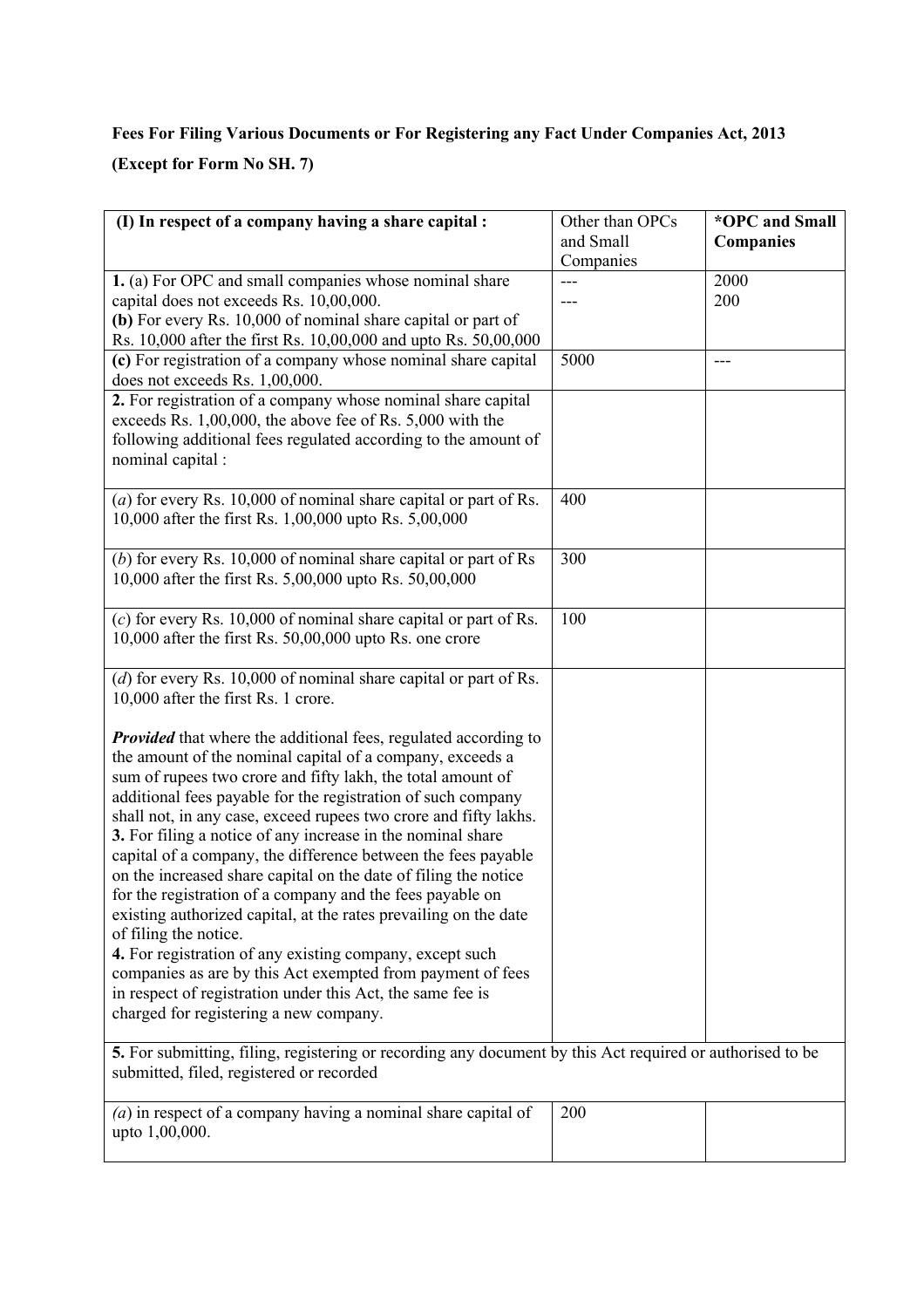# **Fees For Filing Various Documents or For Registering any Fact Under Companies Act, 2013**

**(Except for Form No SH. 7)**

| (I) In respect of a company having a share capital :                                                                                                                                                                                                                                                                                                                                                                                                                                                                                                                                                                                                                                                                                                                                                                                                                                                                                  | Other than OPCs<br>and Small<br>Companies | *OPC and Small<br><b>Companies</b> |
|---------------------------------------------------------------------------------------------------------------------------------------------------------------------------------------------------------------------------------------------------------------------------------------------------------------------------------------------------------------------------------------------------------------------------------------------------------------------------------------------------------------------------------------------------------------------------------------------------------------------------------------------------------------------------------------------------------------------------------------------------------------------------------------------------------------------------------------------------------------------------------------------------------------------------------------|-------------------------------------------|------------------------------------|
| 1. (a) For OPC and small companies whose nominal share<br>capital does not exceeds Rs. 10,00,000.<br>(b) For every Rs. 10,000 of nominal share capital or part of<br>Rs. 10,000 after the first Rs. 10,00,000 and upto Rs. 50,00,000                                                                                                                                                                                                                                                                                                                                                                                                                                                                                                                                                                                                                                                                                                  |                                           | 2000<br>200                        |
| (c) For registration of a company whose nominal share capital<br>does not exceeds Rs. 1,00,000.                                                                                                                                                                                                                                                                                                                                                                                                                                                                                                                                                                                                                                                                                                                                                                                                                                       | 5000                                      | $---$                              |
| 2. For registration of a company whose nominal share capital<br>exceeds Rs. 1,00,000, the above fee of Rs. 5,000 with the<br>following additional fees regulated according to the amount of<br>nominal capital :                                                                                                                                                                                                                                                                                                                                                                                                                                                                                                                                                                                                                                                                                                                      |                                           |                                    |
| (a) for every Rs. $10,000$ of nominal share capital or part of Rs.<br>10,000 after the first Rs. 1,00,000 upto Rs. 5,00,000                                                                                                                                                                                                                                                                                                                                                                                                                                                                                                                                                                                                                                                                                                                                                                                                           | 400                                       |                                    |
| (b) for every Rs. $10,000$ of nominal share capital or part of Rs<br>10,000 after the first Rs. 5,00,000 upto Rs. 50,00,000                                                                                                                                                                                                                                                                                                                                                                                                                                                                                                                                                                                                                                                                                                                                                                                                           | 300                                       |                                    |
| $(c)$ for every Rs. 10,000 of nominal share capital or part of Rs.<br>10,000 after the first Rs. $50,00,000$ upto Rs. one crore                                                                                                                                                                                                                                                                                                                                                                                                                                                                                                                                                                                                                                                                                                                                                                                                       | 100                                       |                                    |
| $(d)$ for every Rs. 10,000 of nominal share capital or part of Rs.<br>10,000 after the first Rs. 1 crore.                                                                                                                                                                                                                                                                                                                                                                                                                                                                                                                                                                                                                                                                                                                                                                                                                             |                                           |                                    |
| <b>Provided</b> that where the additional fees, regulated according to<br>the amount of the nominal capital of a company, exceeds a<br>sum of rupees two crore and fifty lakh, the total amount of<br>additional fees payable for the registration of such company<br>shall not, in any case, exceed rupees two crore and fifty lakhs.<br>3. For filing a notice of any increase in the nominal share<br>capital of a company, the difference between the fees payable<br>on the increased share capital on the date of filing the notice<br>for the registration of a company and the fees payable on<br>existing authorized capital, at the rates prevailing on the date<br>of filing the notice.<br>4. For registration of any existing company, except such<br>companies as are by this Act exempted from payment of fees<br>in respect of registration under this Act, the same fee is<br>charged for registering a new company. |                                           |                                    |
| 5. For submitting, filing, registering or recording any document by this Act required or authorised to be<br>submitted, filed, registered or recorded                                                                                                                                                                                                                                                                                                                                                                                                                                                                                                                                                                                                                                                                                                                                                                                 |                                           |                                    |
| $(a)$ in respect of a company having a nominal share capital of<br>upto 1,00,000.                                                                                                                                                                                                                                                                                                                                                                                                                                                                                                                                                                                                                                                                                                                                                                                                                                                     | 200                                       |                                    |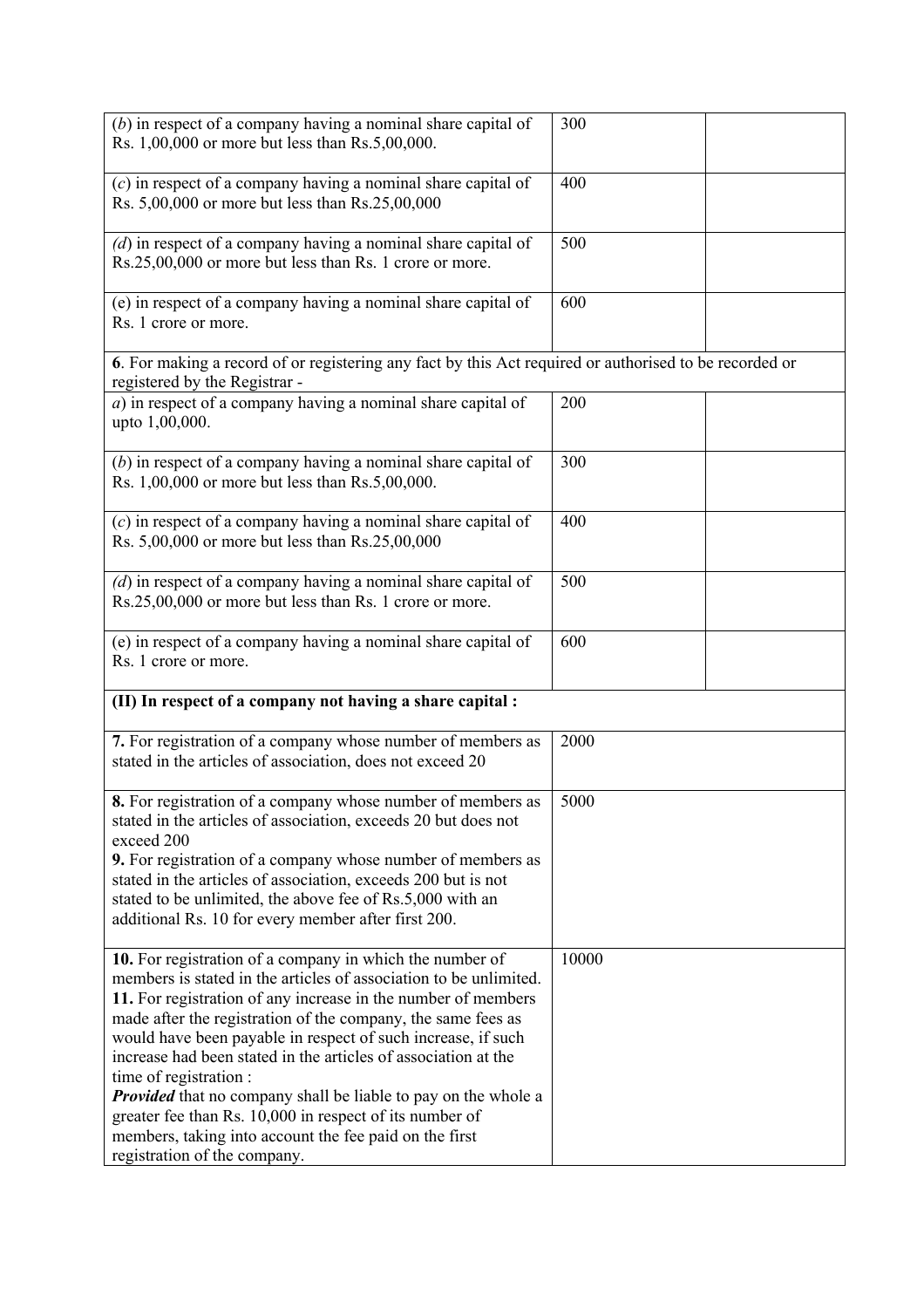| $(b)$ in respect of a company having a nominal share capital of<br>Rs. 1,00,000 or more but less than Rs.5,00,000.                                                                                                                                                                                                                                                                                                                                                                                                                                                                                                                                       | 300   |  |
|----------------------------------------------------------------------------------------------------------------------------------------------------------------------------------------------------------------------------------------------------------------------------------------------------------------------------------------------------------------------------------------------------------------------------------------------------------------------------------------------------------------------------------------------------------------------------------------------------------------------------------------------------------|-------|--|
| $(c)$ in respect of a company having a nominal share capital of<br>Rs. 5,00,000 or more but less than Rs.25,00,000                                                                                                                                                                                                                                                                                                                                                                                                                                                                                                                                       | 400   |  |
| $(d)$ in respect of a company having a nominal share capital of<br>Rs.25,00,000 or more but less than Rs. 1 crore or more.                                                                                                                                                                                                                                                                                                                                                                                                                                                                                                                               | 500   |  |
| (e) in respect of a company having a nominal share capital of<br>Rs. 1 crore or more.                                                                                                                                                                                                                                                                                                                                                                                                                                                                                                                                                                    | 600   |  |
| 6. For making a record of or registering any fact by this Act required or authorised to be recorded or<br>registered by the Registrar -                                                                                                                                                                                                                                                                                                                                                                                                                                                                                                                  |       |  |
| $a)$ in respect of a company having a nominal share capital of<br>upto 1,00,000.                                                                                                                                                                                                                                                                                                                                                                                                                                                                                                                                                                         | 200   |  |
| $(b)$ in respect of a company having a nominal share capital of<br>Rs. 1,00,000 or more but less than Rs.5,00,000.                                                                                                                                                                                                                                                                                                                                                                                                                                                                                                                                       | 300   |  |
| $(c)$ in respect of a company having a nominal share capital of<br>Rs. 5,00,000 or more but less than Rs.25,00,000                                                                                                                                                                                                                                                                                                                                                                                                                                                                                                                                       | 400   |  |
| $(d)$ in respect of a company having a nominal share capital of<br>Rs.25,00,000 or more but less than Rs. 1 crore or more.                                                                                                                                                                                                                                                                                                                                                                                                                                                                                                                               | 500   |  |
| (e) in respect of a company having a nominal share capital of<br>Rs. 1 crore or more.                                                                                                                                                                                                                                                                                                                                                                                                                                                                                                                                                                    | 600   |  |
| (II) In respect of a company not having a share capital :                                                                                                                                                                                                                                                                                                                                                                                                                                                                                                                                                                                                |       |  |
| 7. For registration of a company whose number of members as<br>stated in the articles of association, does not exceed 20                                                                                                                                                                                                                                                                                                                                                                                                                                                                                                                                 | 2000  |  |
| <b>8.</b> For registration of a company whose number of members as<br>stated in the articles of association, exceeds 20 but does not<br>exceed 200<br>9. For registration of a company whose number of members as<br>stated in the articles of association, exceeds 200 but is not<br>stated to be unlimited, the above fee of Rs.5,000 with an<br>additional Rs. 10 for every member after first 200.                                                                                                                                                                                                                                                   | 5000  |  |
| 10. For registration of a company in which the number of<br>members is stated in the articles of association to be unlimited.<br>11. For registration of any increase in the number of members<br>made after the registration of the company, the same fees as<br>would have been payable in respect of such increase, if such<br>increase had been stated in the articles of association at the<br>time of registration :<br><b>Provided</b> that no company shall be liable to pay on the whole a<br>greater fee than Rs. 10,000 in respect of its number of<br>members, taking into account the fee paid on the first<br>registration of the company. | 10000 |  |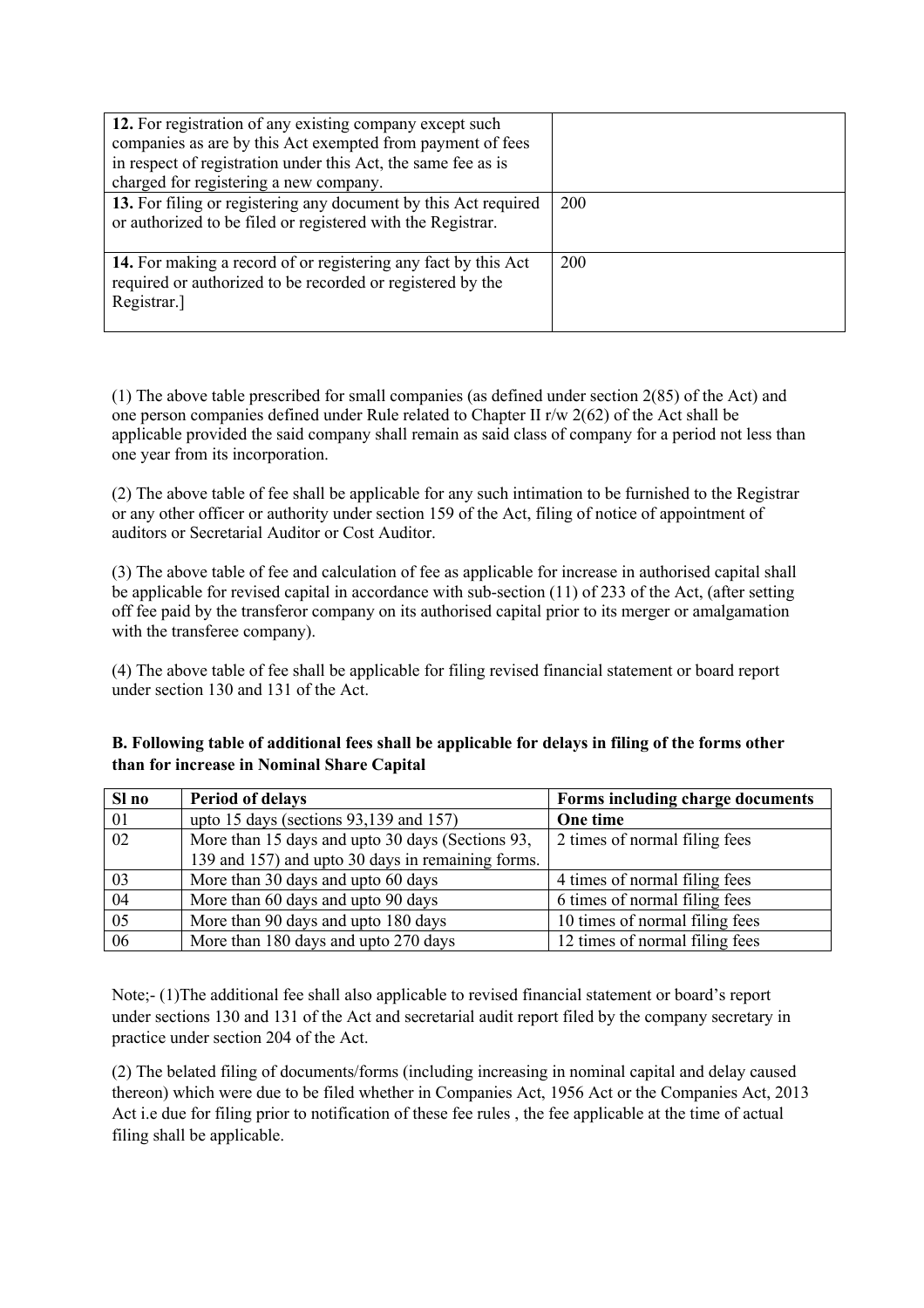| 12. For registration of any existing company except such<br>companies as are by this Act exempted from payment of fees<br>in respect of registration under this Act, the same fee as is |     |
|-----------------------------------------------------------------------------------------------------------------------------------------------------------------------------------------|-----|
| charged for registering a new company.                                                                                                                                                  |     |
| 13. For filing or registering any document by this Act required<br>or authorized to be filed or registered with the Registrar.                                                          | 200 |
| 14. For making a record of or registering any fact by this Act<br>required or authorized to be recorded or registered by the<br>Registrar.]                                             | 200 |

(1) The above table prescribed for small companies (as defined under section 2(85) of the Act) and one person companies defined under Rule related to Chapter II r/w 2(62) of the Act shall be applicable provided the said company shall remain as said class of company for a period not less than one year from its incorporation.

(2) The above table of fee shall be applicable for any such intimation to be furnished to the Registrar or any other officer or authority under section 159 of the Act, filing of notice of appointment of auditors or Secretarial Auditor or Cost Auditor.

(3) The above table of fee and calculation of fee as applicable for increase in authorised capital shall be applicable for revised capital in accordance with sub-section (11) of 233 of the Act, (after setting off fee paid by the transferor company on its authorised capital prior to its merger or amalgamation with the transferee company).

(4) The above table of fee shall be applicable for filing revised financial statement or board report under section 130 and 131 of the Act.

| B. Following table of additional fees shall be applicable for delays in filing of the forms other |
|---------------------------------------------------------------------------------------------------|
| than for increase in Nominal Share Capital                                                        |

| Sl no | <b>Period of delays</b>                           | Forms including charge documents |
|-------|---------------------------------------------------|----------------------------------|
| 01    | upto 15 days (sections $93,139$ and 157)          | One time                         |
| 02    | More than 15 days and upto 30 days (Sections 93,  | 2 times of normal filing fees    |
|       | 139 and 157) and upto 30 days in remaining forms. |                                  |
| 03    | More than 30 days and upto 60 days                | 4 times of normal filing fees    |
| 04    | More than 60 days and upto 90 days                | 6 times of normal filing fees    |
| 05    | More than 90 days and upto 180 days               | 10 times of normal filing fees   |
| 06    | More than 180 days and upto 270 days              | 12 times of normal filing fees   |

Note;- (1)The additional fee shall also applicable to revised financial statement or board's report under sections 130 and 131 of the Act and secretarial audit report filed by the company secretary in practice under section 204 of the Act.

(2) The belated filing of documents/forms (including increasing in nominal capital and delay caused thereon) which were due to be filed whether in Companies Act, 1956 Act or the Companies Act, 2013 Act i.e due for filing prior to notification of these fee rules , the fee applicable at the time of actual filing shall be applicable.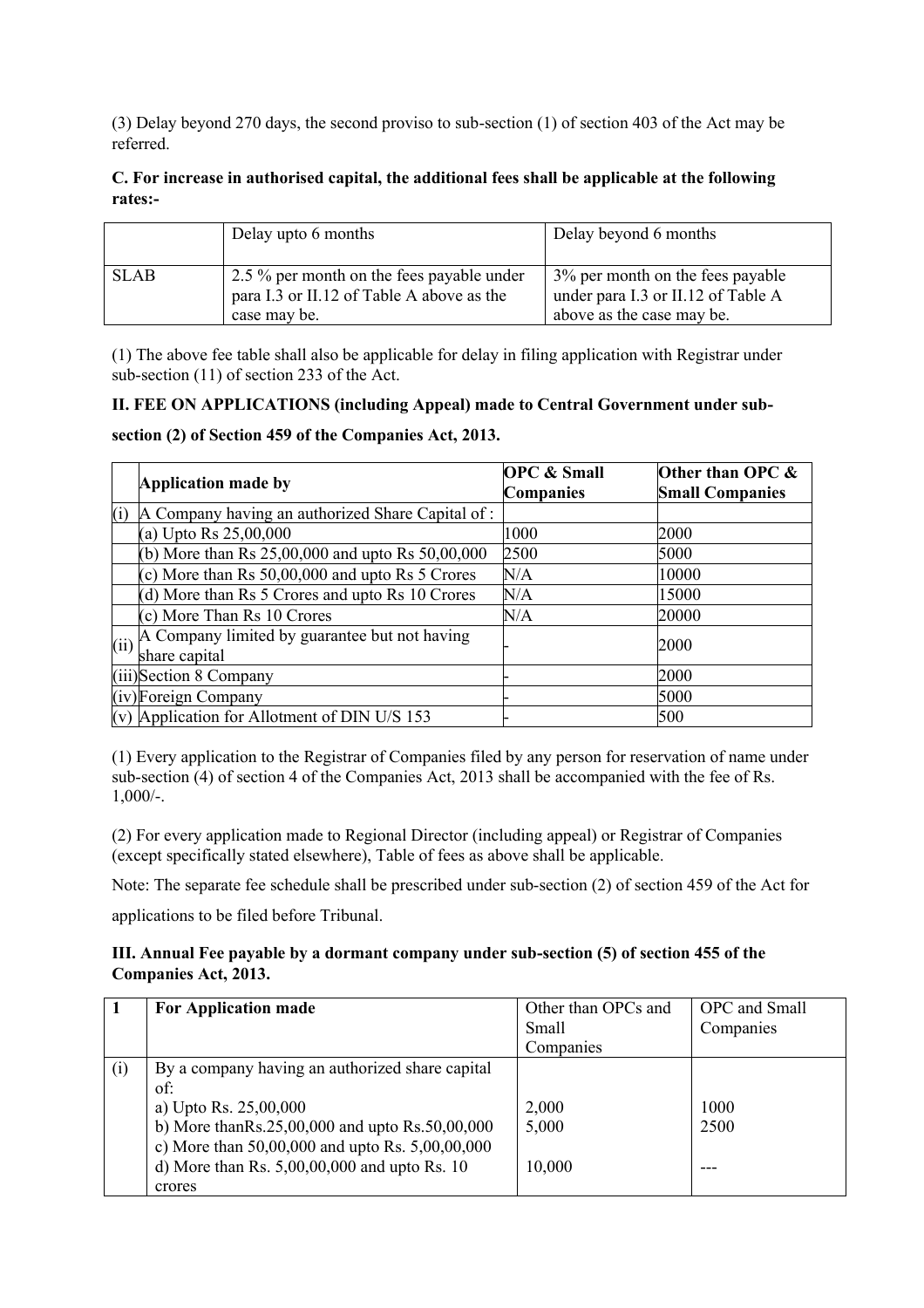(3) Delay beyond 270 days, the second proviso to sub-section (1) of section 403 of the Act may be referred.

## **C. For increase in authorised capital, the additional fees shall be applicable at the following rates:-**

|             | Delay upto 6 months                                                                                    | Delay beyond 6 months                                                                               |
|-------------|--------------------------------------------------------------------------------------------------------|-----------------------------------------------------------------------------------------------------|
| <b>SLAB</b> | 2.5 % per month on the fees payable under<br>para I.3 or II.12 of Table A above as the<br>case may be. | 3% per month on the fees payable<br>under para I.3 or II.12 of Table A<br>above as the case may be. |

(1) The above fee table shall also be applicable for delay in filing application with Registrar under sub-section (11) of section 233 of the Act.

## **II. FEE ON APPLICATIONS (including Appeal) made to Central Government under sub-**

#### **section (2) of Section 459 of the Companies Act, 2013.**

|      | Application made by                                            | <b>OPC &amp; Small</b><br><b>Companies</b> | Other than OPC &<br><b>Small Companies</b> |
|------|----------------------------------------------------------------|--------------------------------------------|--------------------------------------------|
| (i)  | A Company having an authorized Share Capital of:               |                                            |                                            |
|      | (a) Upto Rs $25,00,000$                                        | 1000                                       | 2000                                       |
|      | (b) More than Rs 25,00,000 and upto Rs 50,00,000               | 2500                                       | 5000                                       |
|      | (c) More than Rs $50,00,000$ and upto Rs 5 Crores              | N/A                                        | 10000                                      |
|      | (d) More than Rs 5 Crores and upto Rs 10 Crores                | N/A                                        | 15000                                      |
|      | (c) More Than Rs 10 Crores                                     | N/A                                        | 20000                                      |
| (ii) | A Company limited by guarantee but not having<br>share capital |                                            | 2000                                       |
|      | (iii)Section 8 Company                                         |                                            | 2000                                       |
|      | (iv)Foreign Company                                            |                                            | 5000                                       |
|      | (v) Application for Allotment of DIN U/S 153                   |                                            | 500                                        |

(1) Every application to the Registrar of Companies filed by any person for reservation of name under sub-section (4) of section 4 of the Companies Act, 2013 shall be accompanied with the fee of Rs. 1,000/-.

(2) For every application made to Regional Director (including appeal) or Registrar of Companies (except specifically stated elsewhere), Table of fees as above shall be applicable.

Note: The separate fee schedule shall be prescribed under sub-section (2) of section 459 of the Act for

applications to be filed before Tribunal.

#### **III. Annual Fee payable by a dormant company under sub-section (5) of section 455 of the Companies Act, 2013.**

| $\blacksquare$ | For Application made                                | Other than OPCs and | OPC and Small |
|----------------|-----------------------------------------------------|---------------------|---------------|
|                |                                                     | Small               | Companies     |
|                |                                                     | Companies           |               |
| (i)            | By a company having an authorized share capital     |                     |               |
|                | of:                                                 |                     |               |
|                | a) Upto Rs. 25,00,000                               | 2,000               | 1000          |
|                | b) More than Rs.25,00,000 and upto Rs.50,00,000     | 5,000               | 2500          |
|                | c) More than $50,00,000$ and upto Rs. $5,00,00,000$ |                     |               |
|                | d) More than Rs. $5,00,00,000$ and upto Rs. 10      | 10,000              |               |
|                | crores                                              |                     |               |